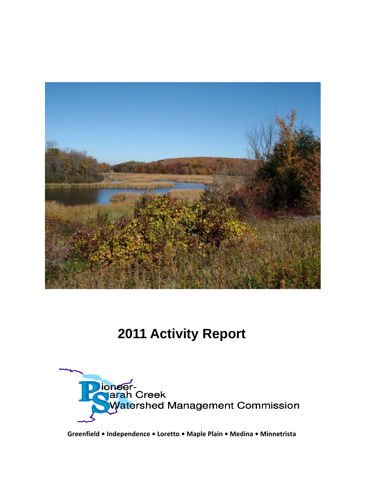

# **2011 Activity Report**



**Greenfield • Independence • Loretto • Maple Plain • Medina • Minnetrista**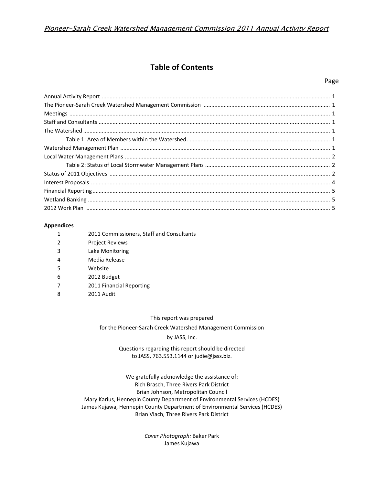## **Table of Contents**

#### Page

| $\textbf{Meetings} \textcolor{red}{} \textcolor{red}{} \textcolor{red}{} \textcolor{red}{} \textcolor{red}{} \textcolor{red}{} \textcolor{red}{} \textcolor{red}{} \textcolor{red}{} \textcolor{red}{} \textcolor{red}{} \textcolor{red}{} \textcolor{red}{} \textcolor{red}{} \textcolor{red}{1}$ |  |
|----------------------------------------------------------------------------------------------------------------------------------------------------------------------------------------------------------------------------------------------------------------------------------------------------|--|
|                                                                                                                                                                                                                                                                                                    |  |
|                                                                                                                                                                                                                                                                                                    |  |
|                                                                                                                                                                                                                                                                                                    |  |
|                                                                                                                                                                                                                                                                                                    |  |
|                                                                                                                                                                                                                                                                                                    |  |
|                                                                                                                                                                                                                                                                                                    |  |
|                                                                                                                                                                                                                                                                                                    |  |
|                                                                                                                                                                                                                                                                                                    |  |
|                                                                                                                                                                                                                                                                                                    |  |
|                                                                                                                                                                                                                                                                                                    |  |
|                                                                                                                                                                                                                                                                                                    |  |

#### **Appendices**

| 1              | 2011 Commissioners, Staff and Consultants |
|----------------|-------------------------------------------|
| $\overline{2}$ | <b>Project Reviews</b>                    |
| 3              | Lake Monitoring                           |
| 4              | Media Release                             |
| 5              | Website                                   |
| 6              | 2012 Budget                               |
| 7              | 2011 Financial Reporting                  |
| 8              | 2011 Audit                                |

#### This report was prepared

for the Pioneer‐Sarah Creek Watershed Management Commission

#### by JASS, Inc.

#### Questions regarding this report should be directed to JASS, 763.553.1144 or judie@jass.biz.

We gratefully acknowledge the assistance of: Rich Brasch, Three Rivers Park District Brian Johnson, Metropolitan Council Mary Karius, Hennepin County Department of Environmental Services (HCDES) James Kujawa, Hennepin County Department of Environmental Services (HCDES) Brian Vlach, Three Rivers Park District

> *Cover Photograph:* Baker Park James Kujawa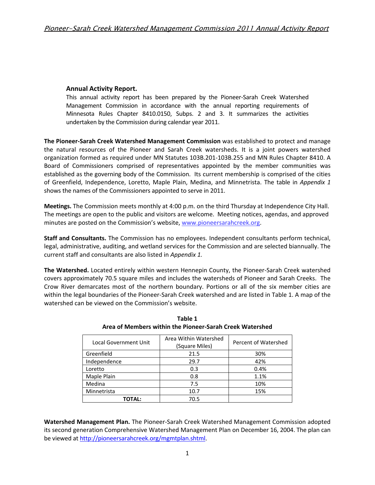### **Annual Activity Report.**

This annual activity report has been prepared by the Pioneer‐Sarah Creek Watershed Management Commission in accordance with the annual reporting requirements of Minnesota Rules Chapter 8410.0150, Subps. 2 and 3. It summarizes the activities undertaken by the Commission during calendar year 2011.

**The Pioneer‐Sarah Creek Watershed Management Commission** was established to protect and manage the natural resources of the Pioneer and Sarah Creek watersheds. It is a joint powers watershed organization formed as required under MN Statutes 103B.201‐103B.255 and MN Rules Chapter 8410. A Board of Commissioners comprised of representatives appointed by the member communities was established as the governing body of the Commission. Its current membership is comprised of the cities of Greenfield, Independence, Loretto, Maple Plain, Medina, and Minnetrista. The table in *Appendix 1* shows the names of the Commissioners appointed to serve in 2011.

**Meetings.** The Commission meets monthly at 4:00 p.m. on the third Thursday at Independence City Hall. The meetings are open to the public and visitors are welcome. Meeting notices, agendas, and approved minutes are posted on the Commission's website, www.pioneersarahcreek.org.

**Staff and Consultants.** The Commission has no employees. Independent consultants perform technical, legal, administrative, auditing, and wetland services for the Commission and are selected biannually. The current staff and consultants are also listed in *Appendix 1.*

**The Watershed.** Located entirely within western Hennepin County, the Pioneer‐Sarah Creek watershed covers approximately 70.5 square miles and includes the watersheds of Pioneer and Sarah Creeks. The Crow River demarcates most of the northern boundary. Portions or all of the six member cities are within the legal boundaries of the Pioneer‐Sarah Creek watershed and are listed in Table 1. A map of the watershed can be viewed on the Commission's website.

| <b>Local Government Unit</b> | Area Within Watershed<br>(Square Miles) | Percent of Watershed |
|------------------------------|-----------------------------------------|----------------------|
| Greenfield                   | 21.5                                    | 30%                  |
| Independence                 | 29.7                                    | 42%                  |
| Loretto                      | 0.3                                     | 0.4%                 |
| Maple Plain                  | 0.8                                     | 1.1%                 |
| Medina                       | 7.5                                     | 10%                  |
| Minnetrista                  | 10.7                                    | 15%                  |
| TOTAL:                       | 70.5                                    |                      |

**Table 1 Area of Members within the Pioneer‐Sarah Creek Watershed**

**Watershed Management Plan.** The Pioneer‐Sarah Creek Watershed Management Commission adopted its second generation Comprehensive Watershed Management Plan on December 16, 2004. The plan can be viewed at http://pioneersarahcreek.org/mgmtplan.shtml.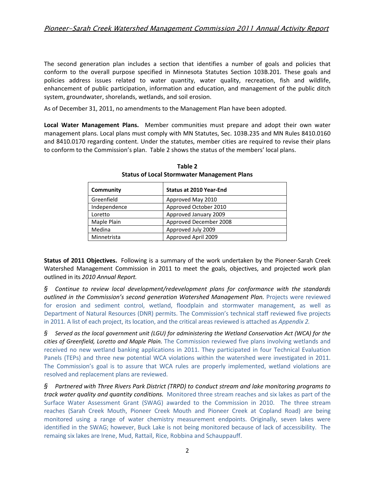The second generation plan includes a section that identifies a number of goals and policies that conform to the overall purpose specified in Minnesota Statutes Section 103B.201. These goals and policies address issues related to water quantity, water quality, recreation, fish and wildlife, enhancement of public participation, information and education, and management of the public ditch system, groundwater, shorelands, wetlands, and soil erosion.

As of December 31, 2011, no amendments to the Management Plan have been adopted.

**Local Water Management Plans.**  Member communities must prepare and adopt their own water management plans. Local plans must comply with MN Statutes, Sec. 103B.235 and MN Rules 8410.0160 and 8410.0170 regarding content. Under the statutes, member cities are required to revise their plans to conform to the Commission's plan. Table 2 shows the status of the members' local plans.

| Community    | <b>Status at 2010 Year-End</b> |
|--------------|--------------------------------|
| Greenfield   | Approved May 2010              |
| Independence | Approved October 2010          |
| Loretto      | Approved January 2009          |
| Maple Plain  | Approved December 2008         |
| Medina       | Approved July 2009             |
| Minnetrista  | Approved April 2009            |

**Table 2 Status of Local Stormwater Management Plans**

**Status of 2011 Objectives.** Following is a summary of the work undertaken by the Pioneer‐Sarah Creek Watershed Management Commission in 2011 to meet the goals, objectives, and projected work plan outlined in its *2010 Annual Report.*

*§ Continue to review local development/redevelopment plans for conformance with the standards outlined in the Commission's second generation Watershed Management Plan.* Projects were reviewed for erosion and sediment control, wetland, floodplain and stormwater management, as well as Department of Natural Resources (DNR) permits. The Commission's technical staff reviewed five projects in 2011. A list of each project, its location, and the critical areas reviewed is attached as *Appendix 2.*

*§ Served as the local government unit (LGU) for administering the Wetland Conservation Act (WCA) for the cities of Greenfield, Loretto and Maple Plain.* The Commission reviewed five plans involving wetlands and received no new wetland banking applications in 2011. They participated in four Technical Evaluation Panels (TEPs) and three new potential WCA violations within the watershed were investigated in 2011. The Commission's goal is to assure that WCA rules are properly implemented, wetland violations are resolved and replacement plans are reviewed.

*§ Partnered with Three Rivers Park District (TRPD) to conduct stream and lake monitoring programs to track water quality and quantity conditions.* Monitored three stream reaches and six lakes as part of the Surface Water Assessment Grant (SWAG) awarded to the Commission in 2010. The three stream reaches (Sarah Creek Mouth, Pioneer Creek Mouth and Pioneer Creek at Copland Road) are being monitored using a range of water chemistry measurement endpoints. Originally, seven lakes were identified in the SWAG; however, Buck Lake is not being monitored because of lack of accessibility. The remaing six lakes are Irene, Mud, Rattail, Rice, Robbina and Schauppauff.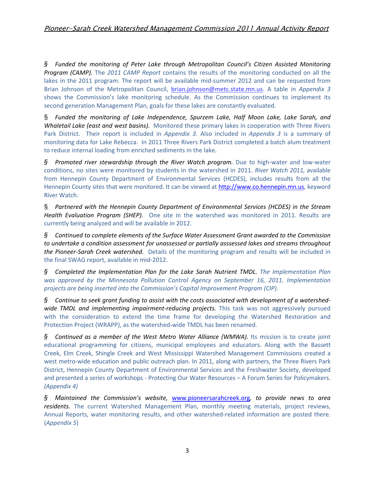*§ Funded the monitoring of Peter Lake through Metropolitan Council's Citizen Assisted Monitoring Program (CAMP).* The *2011 CAMP Report* contains the results of the monitoring conducted on all the lakes in the 2011 program. The report will be available mid-summer 2012 and can be requested from Brian Johnson of the Metropolitan Council, brian.johnson@metc.state.mn.us. A table in *Appendix 3* shows the Commission's lake monitoring schedule. As the Commission continues to implement its second generation Management Plan, goals for these lakes are constantly evaluated.

§ *Funded the monitoring of Lake Independence, Spurzem Lake, Half Moon Lake, Lake Sarah, and Whaletail Lake (east and west basins).* Monitored these primary lakes in cooperation with Three Rivers Park District. Their report is included in *Appendix 3.* Also included in *Appendix 3* is a summary of monitoring data for Lake Rebecca. In 2011 Three Rivers Park District completed a batch alum treatment to reduce internal loading from enriched sediments in the lake.

*§ Promoted river stewardship through the River Watch program.* Due to high‐water and low‐water conditions, no sites were monitored by students in the watershed in 2011. *River Watch 2011,* available from Hennepin County Department of Environmental Services (HCDES), includes results from all the Hennepin County sites that were monitored. It can be viewed at http://www.co.hennepin.mn.us, keyword River Watch.

§ *Partnered with the Hennepin County Department of Environmental Services (HCDES) in the Stream Health Evaluation Program (SHEP).* One site in the watershed was monitored in 2011. Results are currently being analyzed and will be available in 2012.

*§ Continued to complete elements of the Surface Water Assessment Grant awarded to the Commission to undertake a condition assessment for unassessed or partially asssessed lakes and streams throughout the Pioneer‐Sarah Creek watershed.* Details of the monitoring program and results will be included in the final SWAG report, available in mid‐2012.

*§ Completed the Implementation Plan for the Lake Sarah Nutrient TMDL. The Implementation Plan was approved by the Minnesota Pollution Control Agency on September 16, 2011. Implementation projects are being inserted into the Commission's Capital Improvement Program (CIP).*

 $\S$  Continue to seek grant funding to assist with the costs associated with development of a watershed*wide TMDL and implementing impairment‐reducing projects.* This task was not aggressively pursued with the consideration to extend the time frame for developing the Watershed Restoration and Protection Project (WRAPP), as the watershed‐wide TMDL has been renamed.

*§ Continued as a member of the West Metro Water Alliance (WMWA).* Its mission is to create joint educational programming for citizens, municipal employees and educators. Along with the Bassett Creek, Elm Creek, Shingle Creek and West Mississippi Watershed Management Commissions created a west metro-wide education and public outreach plan. In 2011, along with partners, the Three Rivers Park District, Hennepin County Department of Environmental Services and the Freshwater Society, developed and presented a series of workshops - Protecting Our Water Resources – A Forum Series for Policymakers. *(Appendix 4)*

*§ Maintained the Commission's website,* www.pioneersarahcreek.org*, to provide news to area residents.* The current Watershed Management Plan, monthly meeting materials, project reviews, Annual Reports, water monitoring results, and other watershed‐related information are posted there. (*Appendix 5*)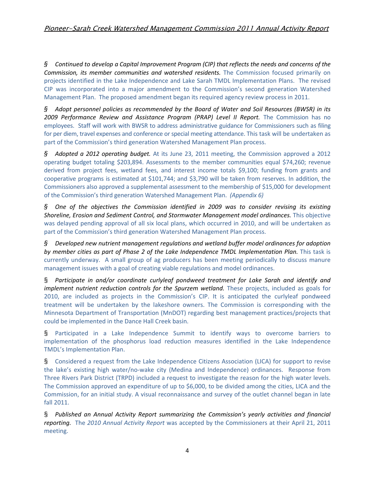*§ Continued to develop a Capital Improvement Program (CIP) that reflects the needs and concerns of the Commission, its member communities and watershed residents.* The Commission focused primarily on projects identified in the Lake Independence and Lake Sarah TMDL Implementation Plans. The revised CIP was incorporated into a major amendment to the Commission's second generation Watershed Management Plan. The proposed amendment began its required agency review process in 2011.

*§ Adopt personnel policies as recommended by the Board of Water and Soil Resources (BWSR) in its 2009 Performance Review and Assistance Program (PRAP) Level II Report.* The Commission has no employees. Staff will work with BWSR to address administrative guidance for Commissioners such as filing for per diem, travel expenses and conference or special meeting attendance. This task will be undertaken as part of the Commission's third generation Watershed Management Plan process.

*§ Adopted a 2012 operating budget.* At its June 23, 2011 meeting, the Commission approved a 2012 operating budget totaling \$203,894. Assessments to the member communities equal \$74,260; revenue derived from project fees, wetland fees, and interest income totals \$9,100; funding from grants and cooperative programs is estimated at \$101,744; and \$3,790 will be taken from reserves. In addition, the Commissioners also approved a supplemental assessment to the membership of \$15,000 for development of the Commission's third generation Watershed Management Plan. *(Appendix 6)*

*§ One of the objectives the Commission identified in 2009 was to consider revising its existing Shoreline, Erosion and Sediment Control, and Stormwater Management model ordinances.* This objective was delayed pending approval of all six local plans, which occurred in 2010, and will be undertaken as part of the Commission's third generation Watershed Management Plan process.

*§ Developed new nutrient management regulations and wetland buffer model ordinances for adoption by member cities as part of Phase 2 of the Lake Independence TMDL Implementation Plan.* This task is currently underway. A small group of ag producers has been meeting periodically to discuss manure management issues with a goal of creating viable regulations and model ordinances.

§ *Participate in and/or coordinate curlyleaf pondweed treatment for Lake Sarah and identify and implement nutrient reduction controls for the Spurzem wetland.* These projects, included as goals for 2010, are included as projects in the Commission's CIP. It is anticipated the curlyleaf pondweed treatment will be undertaken by the lakeshore owners. The Commission is corresponding with the Minnesota Department of Transportation (MnDOT) regarding best management practices/projects that could be implemented in the Dance Hall Creek basin.

§ Participated in a Lake Independence Summit to identify ways to overcome barriers to implementation of the phosphorus load reduction measures identified in the Lake Independence TMDL's Implementation Plan.

§ Considered a request from the Lake Independence Citizens Association (LICA) for support to revise the lake's existing high water/no‐wake city (Medina and Independence) ordinances. Response from Three Rivers Park District (TRPD) included a request to investigate the reason for the high water levels. The Commission approved an expenditure of up to \$6,000, to be divided among the cities, LICA and the Commission, for an initial study. A visual reconnaissance and survey of the outlet channel began in late fall 2011.

§ *Published an Annual Activity Report summarizing the Commission's yearly activities and financial reporting.* The *2010 Annual Activity Report* was accepted by the Commissioners at their April 21, 2011 meeting.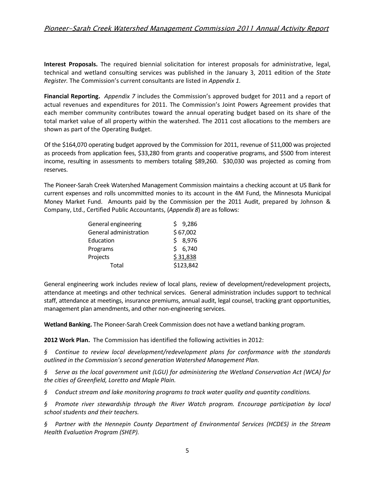## Pioneer-Sarah Creek Watershed Management Commission 2011 Annual Activity Report

**Interest Proposals.** The required biennial solicitation for interest proposals for administrative, legal, technical and wetland consulting services was published in the January 3, 2011 edition of the *State Register.* The Commission's current consultants are listed in *Appendix 1.*

**Financial Reporting.** *Appendix 7* includes the Commission's approved budget for 2011 and a report of actual revenues and expenditures for 2011. The Commission's Joint Powers Agreement provides that each member community contributes toward the annual operating budget based on its share of the total market value of all property within the watershed. The 2011 cost allocations to the members are shown as part of the Operating Budget.

Of the \$164,070 operating budget approved by the Commission for 2011, revenue of \$11,000 was projected as proceeds from application fees, \$33,280 from grants and cooperative programs, and \$500 from interest income, resulting in assessments to members totaling \$89,260. \$30,030 was projected as coming from reserves.

The Pioneer‐Sarah Creek Watershed Management Commission maintains a checking account at US Bank for current expenses and rolls uncommitted monies to its account in the 4M Fund, the Minnesota Municipal Money Market Fund. Amounts paid by the Commission per the 2011 Audit, prepared by Johnson & Company, Ltd., Certified Public Accountants, (*Appendix 8*) are asfollows:

| General engineering    | \$9,286   |
|------------------------|-----------|
| General administration | \$67,002  |
| Education              | 8,976     |
| Programs               | \$6,740   |
| Projects               | \$31,838  |
| Total                  | \$123,842 |

General engineering work includes review of local plans, review of development/redevelopment projects, attendance at meetings and other technical services. General administration includes support to technical staff, attendance at meetings, insurance premiums, annual audit, legal counsel, tracking grant opportunities, management plan amendments, and other non‐engineering services.

**Wetland Banking.** The Pioneer‐Sarah Creek Commission does not have a wetland banking program.

**2012 Work Plan.** The Commission has identified the following activities in 2012:

*§ Continue to review local development/redevelopment plans for conformance with the standards outlined in the Commission's second generation Watershed Management Plan.* 

*§ Serve as the local government unit (LGU) for administering the Wetland Conservation Act (WCA) for the cities of Greenfield, Loretto and Maple Plain.*

*§ Conduct stream and lake monitoring programs to track water quality and quantity conditions.* 

*§ Promote river stewardship through the River Watch program. Encourage participation by local school students and their teachers.*

*§ Partner with the Hennepin County Department of Environmental Services (HCDES) in the Stream Health Evaluation Program (SHEP).*